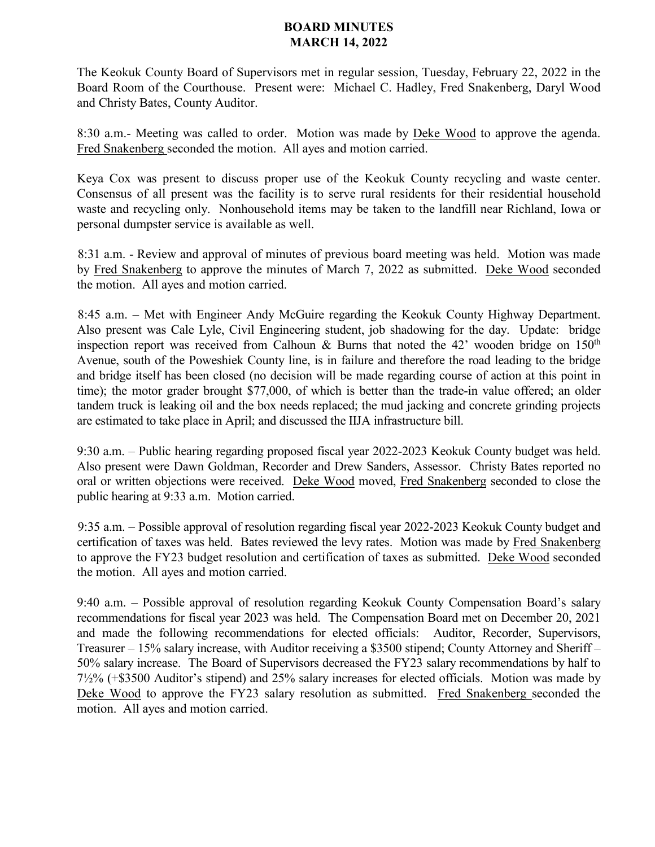## **BOARD MINUTES MARCH 14, 2022**

The Keokuk County Board of Supervisors met in regular session, Tuesday, February 22, 2022 in the Board Room of the Courthouse. Present were: Michael C. Hadley, Fred Snakenberg, Daryl Wood and Christy Bates, County Auditor.

8:30 a.m.- Meeting was called to order. Motion was made by Deke Wood to approve the agenda. Fred Snakenberg seconded the motion. All ayes and motion carried.

Keya Cox was present to discuss proper use of the Keokuk County recycling and waste center. Consensus of all present was the facility is to serve rural residents for their residential household waste and recycling only. Nonhousehold items may be taken to the landfill near Richland, Iowa or personal dumpster service is available as well.

8:31 a.m. - Review and approval of minutes of previous board meeting was held. Motion was made by Fred Snakenberg to approve the minutes of March 7, 2022 as submitted. Deke Wood seconded the motion. All ayes and motion carried.

8:45 a.m. – Met with Engineer Andy McGuire regarding the Keokuk County Highway Department. Also present was Cale Lyle, Civil Engineering student, job shadowing for the day. Update: bridge inspection report was received from Calhoun & Burns that noted the 42' wooden bridge on  $150<sup>th</sup>$ Avenue, south of the Poweshiek County line, is in failure and therefore the road leading to the bridge and bridge itself has been closed (no decision will be made regarding course of action at this point in time); the motor grader brought \$77,000, of which is better than the trade-in value offered; an older tandem truck is leaking oil and the box needs replaced; the mud jacking and concrete grinding projects are estimated to take place in April; and discussed the IIJA infrastructure bill.

9:30 a.m. – Public hearing regarding proposed fiscal year 2022-2023 Keokuk County budget was held. Also present were Dawn Goldman, Recorder and Drew Sanders, Assessor. Christy Bates reported no oral or written objections were received. Deke Wood moved, Fred Snakenberg seconded to close the public hearing at 9:33 a.m. Motion carried.

9:35 a.m. – Possible approval of resolution regarding fiscal year 2022-2023 Keokuk County budget and certification of taxes was held. Bates reviewed the levy rates. Motion was made by Fred Snakenberg to approve the FY23 budget resolution and certification of taxes as submitted. Deke Wood seconded the motion. All ayes and motion carried.

9:40 a.m. – Possible approval of resolution regarding Keokuk County Compensation Board's salary recommendations for fiscal year 2023 was held. The Compensation Board met on December 20, 2021 and made the following recommendations for elected officials: Auditor, Recorder, Supervisors, Treasurer – 15% salary increase, with Auditor receiving a \$3500 stipend; County Attorney and Sheriff – 50% salary increase. The Board of Supervisors decreased the FY23 salary recommendations by half to 7½% (+\$3500 Auditor's stipend) and 25% salary increases for elected officials. Motion was made by Deke Wood to approve the FY23 salary resolution as submitted. Fred Snakenberg seconded the motion. All ayes and motion carried.